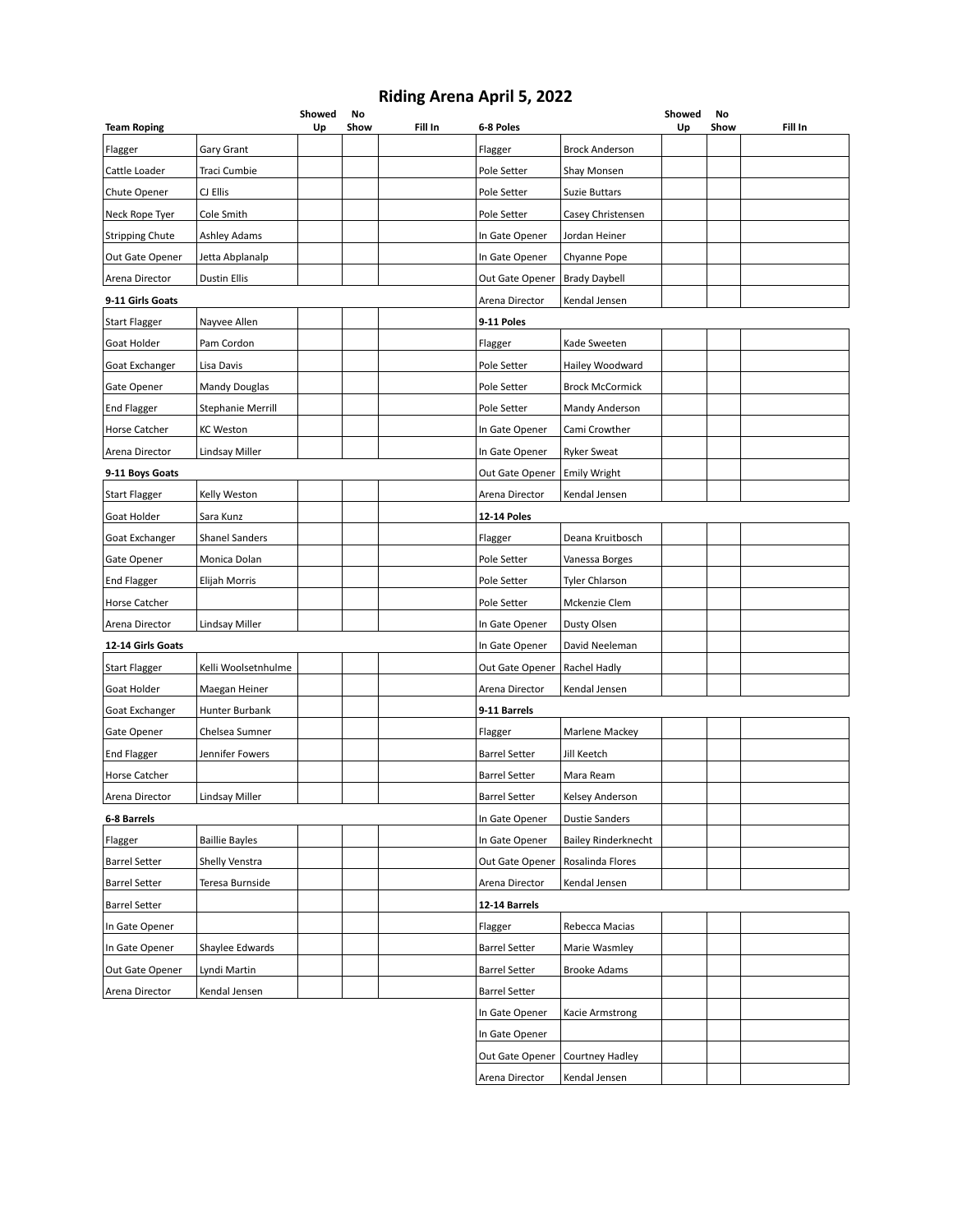## **Riding Arena April 5, 2022**

| <b>Team Roping</b>     |                       | Showed<br>Up | No<br>Show | Fill In | 6-8 Poles            |                            | Showed<br>Up | No<br>Show | Fill In |
|------------------------|-----------------------|--------------|------------|---------|----------------------|----------------------------|--------------|------------|---------|
| Flagger                | Gary Grant            |              |            |         | Flagger              | <b>Brock Anderson</b>      |              |            |         |
| Cattle Loader          | Traci Cumbie          |              |            |         | Pole Setter          | Shay Monsen                |              |            |         |
| Chute Opener           | CJ Ellis              |              |            |         | Pole Setter          | <b>Suzie Buttars</b>       |              |            |         |
| Neck Rope Tyer         | Cole Smith            |              |            |         | Pole Setter          | Casey Christensen          |              |            |         |
| <b>Stripping Chute</b> | <b>Ashley Adams</b>   |              |            |         | In Gate Opener       | Jordan Heiner              |              |            |         |
| Out Gate Opener        | Jetta Abplanalp       |              |            |         | In Gate Opener       | Chyanne Pope               |              |            |         |
| Arena Director         | <b>Dustin Ellis</b>   |              |            |         | Out Gate Opener      | <b>Brady Daybell</b>       |              |            |         |
| 9-11 Girls Goats       |                       |              |            |         | Arena Director       | Kendal Jensen              |              |            |         |
| Start Flagger          | Nayvee Allen          |              |            |         | 9-11 Poles           |                            |              |            |         |
| Goat Holder            | Pam Cordon            |              |            |         | Flagger              | Kade Sweeten               |              |            |         |
| Goat Exchanger         | Lisa Davis            |              |            |         | Pole Setter          | Hailey Woodward            |              |            |         |
| Gate Opener            | Mandy Douglas         |              |            |         | Pole Setter          | <b>Brock McCormick</b>     |              |            |         |
| <b>End Flagger</b>     | Stephanie Merrill     |              |            |         | Pole Setter          | Mandy Anderson             |              |            |         |
| Horse Catcher          | <b>KC Weston</b>      |              |            |         | In Gate Opener       | Cami Crowther              |              |            |         |
| Arena Director         | Lindsay Miller        |              |            |         | In Gate Opener       | <b>Ryker Sweat</b>         |              |            |         |
| 9-11 Boys Goats        |                       |              |            |         | Out Gate Opener      | <b>Emily Wright</b>        |              |            |         |
| <b>Start Flagger</b>   | Kelly Weston          |              |            |         | Arena Director       | Kendal Jensen              |              |            |         |
| Goat Holder            | Sara Kunz             |              |            |         | <b>12-14 Poles</b>   |                            |              |            |         |
| Goat Exchanger         | <b>Shanel Sanders</b> |              |            |         | Flagger              | Deana Kruitbosch           |              |            |         |
| Gate Opener            | Monica Dolan          |              |            |         | Pole Setter          | Vanessa Borges             |              |            |         |
| <b>End Flagger</b>     | Elijah Morris         |              |            |         | Pole Setter          | <b>Tyler Chlarson</b>      |              |            |         |
| Horse Catcher          |                       |              |            |         | Pole Setter          | Mckenzie Clem              |              |            |         |
| Arena Director         | Lindsay Miller        |              |            |         | In Gate Opener       | Dusty Olsen                |              |            |         |
| 12-14 Girls Goats      |                       |              |            |         | In Gate Opener       | David Neeleman             |              |            |         |
| Start Flagger          | Kelli Woolsetnhulme   |              |            |         | Out Gate Opener      | Rachel Hadly               |              |            |         |
| Goat Holder            | Maegan Heiner         |              |            |         | Arena Director       | Kendal Jensen              |              |            |         |
| Goat Exchanger         | Hunter Burbank        |              |            |         | 9-11 Barrels         |                            |              |            |         |
| Gate Opener            | Chelsea Sumner        |              |            |         | Flagger              | Marlene Mackey             |              |            |         |
| <b>End Flagger</b>     | Jennifer Fowers       |              |            |         | <b>Barrel Setter</b> | Jill Keetch                |              |            |         |
| Horse Catcher          |                       |              |            |         | <b>Barrel Setter</b> | Mara Ream                  |              |            |         |
| Arena Director         | Lindsay Miller        |              |            |         | <b>Barrel Setter</b> | Kelsey Anderson            |              |            |         |
| 6-8 Barrels            |                       |              |            |         | In Gate Opener       | <b>Dustie Sanders</b>      |              |            |         |
| Flagger                | <b>Baillie Bayles</b> |              |            |         | In Gate Opener       | <b>Bailey Rinderknecht</b> |              |            |         |
| <b>Barrel Setter</b>   | Shelly Venstra        |              |            |         | Out Gate Opener      | Rosalinda Flores           |              |            |         |
| <b>Barrel Setter</b>   | Teresa Burnside       |              |            |         | Arena Director       | Kendal Jensen              |              |            |         |
| <b>Barrel Setter</b>   |                       |              |            |         | 12-14 Barrels        |                            |              |            |         |
| In Gate Opener         |                       |              |            |         | Flagger              | Rebecca Macias             |              |            |         |
| In Gate Opener         | Shaylee Edwards       |              |            |         | <b>Barrel Setter</b> | Marie Wasmley              |              |            |         |
| Out Gate Opener        | Lyndi Martin          |              |            |         | <b>Barrel Setter</b> | <b>Brooke Adams</b>        |              |            |         |
| Arena Director         | Kendal Jensen         |              |            |         | <b>Barrel Setter</b> |                            |              |            |         |
|                        |                       |              |            |         | In Gate Opener       | Kacie Armstrong            |              |            |         |
|                        |                       |              |            |         | In Gate Opener       |                            |              |            |         |
|                        |                       |              |            |         | Out Gate Opener      | <b>Courtney Hadley</b>     |              |            |         |
|                        |                       |              |            |         | Arena Director       | Kendal Jensen              |              |            |         |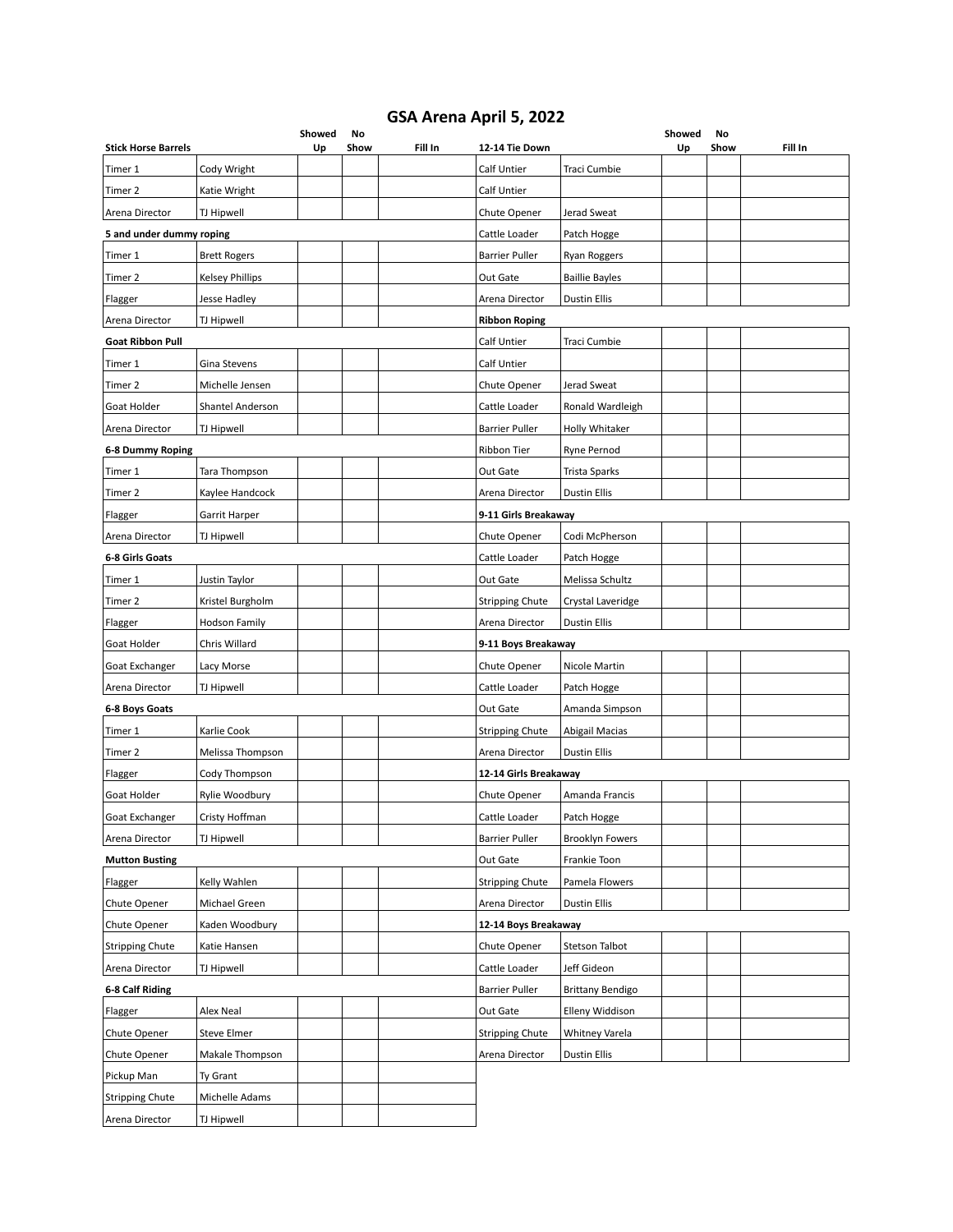## **GSA Arena April 5, 2022**

| <b>Stick Horse Barrels</b> |                        | Showed<br>Up | No<br>Show | Fill In | 12-14 Tie Down         |                        | Showed<br>Up | No<br>Show | Fill In |
|----------------------------|------------------------|--------------|------------|---------|------------------------|------------------------|--------------|------------|---------|
| Timer 1                    | Cody Wright            |              |            |         | Calf Untier            | Traci Cumbie           |              |            |         |
| Timer 2                    | Katie Wright           |              |            |         | Calf Untier            |                        |              |            |         |
| Arena Director             | <b>TJ Hipwell</b>      |              |            |         | Chute Opener           | Jerad Sweat            |              |            |         |
| 5 and under dummy roping   |                        |              |            |         | Cattle Loader          | Patch Hogge            |              |            |         |
| Timer 1                    | <b>Brett Rogers</b>    |              |            |         | <b>Barrier Puller</b>  | Ryan Roggers           |              |            |         |
| Timer 2                    | <b>Kelsey Phillips</b> |              |            |         | Out Gate               | <b>Baillie Bayles</b>  |              |            |         |
| Flagger                    | Jesse Hadley           |              |            |         | Arena Director         | <b>Dustin Ellis</b>    |              |            |         |
| Arena Director             | TJ Hipwell             |              |            |         | <b>Ribbon Roping</b>   |                        |              |            |         |
| <b>Goat Ribbon Pull</b>    |                        |              |            |         | Calf Untier            | Traci Cumbie           |              |            |         |
| Timer 1                    | Gina Stevens           |              |            |         | Calf Untier            |                        |              |            |         |
| Timer 2                    | Michelle Jensen        |              |            |         | Chute Opener           | Jerad Sweat            |              |            |         |
| Goat Holder                | Shantel Anderson       |              |            |         | Cattle Loader          | Ronald Wardleigh       |              |            |         |
| Arena Director             | TJ Hipwell             |              |            |         | <b>Barrier Puller</b>  | Holly Whitaker         |              |            |         |
| <b>6-8 Dummy Roping</b>    |                        |              |            |         | Ribbon Tier            | <b>Ryne Pernod</b>     |              |            |         |
| Timer 1                    | Tara Thompson          |              |            |         | Out Gate               | Trista Sparks          |              |            |         |
| Timer 2                    | Kaylee Handcock        |              |            |         | Arena Director         | <b>Dustin Ellis</b>    |              |            |         |
| Flagger                    | Garrit Harper          |              |            |         | 9-11 Girls Breakaway   |                        |              |            |         |
| Arena Director             | TJ Hipwell             |              |            |         | Chute Opener           | Codi McPherson         |              |            |         |
| 6-8 Girls Goats            |                        |              |            |         | Cattle Loader          | Patch Hogge            |              |            |         |
| Timer 1                    | Justin Taylor          |              |            |         | Out Gate               | Melissa Schultz        |              |            |         |
| Timer 2                    | Kristel Burgholm       |              |            |         | <b>Stripping Chute</b> | Crystal Laveridge      |              |            |         |
| Flagger                    | <b>Hodson Family</b>   |              |            |         | Arena Director         | <b>Dustin Ellis</b>    |              |            |         |
| Goat Holder                | Chris Willard          |              |            |         | 9-11 Boys Breakaway    |                        |              |            |         |
| Goat Exchanger             | Lacy Morse             |              |            |         | Chute Opener           | Nicole Martin          |              |            |         |
| Arena Director             | TJ Hipwell             |              |            |         | Cattle Loader          | Patch Hogge            |              |            |         |
| 6-8 Boys Goats             |                        |              |            |         | Out Gate               | Amanda Simpson         |              |            |         |
| Timer 1                    | Karlie Cook            |              |            |         | <b>Stripping Chute</b> | <b>Abigail Macias</b>  |              |            |         |
| Timer 2                    | Melissa Thompson       |              |            |         | Arena Director         | <b>Dustin Ellis</b>    |              |            |         |
| Flagger                    | Cody Thompson          |              |            |         | 12-14 Girls Breakaway  |                        |              |            |         |
| Goat Holder                | Rylie Woodbury         |              |            |         | Chute Opener           | Amanda Francis         |              |            |         |
| Goat Exchanger             | Cristy Hoffman         |              |            |         | Cattle Loader          | Patch Hogge            |              |            |         |
| Arena Director             | TJ Hipwell             |              |            |         | <b>Barrier Puller</b>  | <b>Brooklyn Fowers</b> |              |            |         |
| <b>Mutton Busting</b>      |                        |              |            |         | Out Gate               | Frankie Toon           |              |            |         |
| Flagger                    | Kelly Wahlen           |              |            |         | <b>Stripping Chute</b> | Pamela Flowers         |              |            |         |
| Chute Opener               | Michael Green          |              |            |         | Arena Director         | <b>Dustin Ellis</b>    |              |            |         |
| Chute Opener               | Kaden Woodbury         |              |            |         | 12-14 Boys Breakaway   |                        |              |            |         |
| <b>Stripping Chute</b>     | Katie Hansen           |              |            |         | Chute Opener           | Stetson Talbot         |              |            |         |
| Arena Director             | TJ Hipwell             |              |            |         | Cattle Loader          | Jeff Gideon            |              |            |         |
| 6-8 Calf Riding            |                        |              |            |         | <b>Barrier Puller</b>  | Brittany Bendigo       |              |            |         |
| Flagger                    | Alex Neal              |              |            |         | Out Gate               | Elleny Widdison        |              |            |         |
| Chute Opener               | <b>Steve Elmer</b>     |              |            |         | <b>Stripping Chute</b> | Whitney Varela         |              |            |         |
| Chute Opener               | Makale Thompson        |              |            |         | Arena Director         | Dustin Ellis           |              |            |         |
| Pickup Man                 | Ty Grant               |              |            |         |                        |                        |              |            |         |
| <b>Stripping Chute</b>     | Michelle Adams         |              |            |         |                        |                        |              |            |         |
| Arena Director             | TJ Hipwell             |              |            |         |                        |                        |              |            |         |